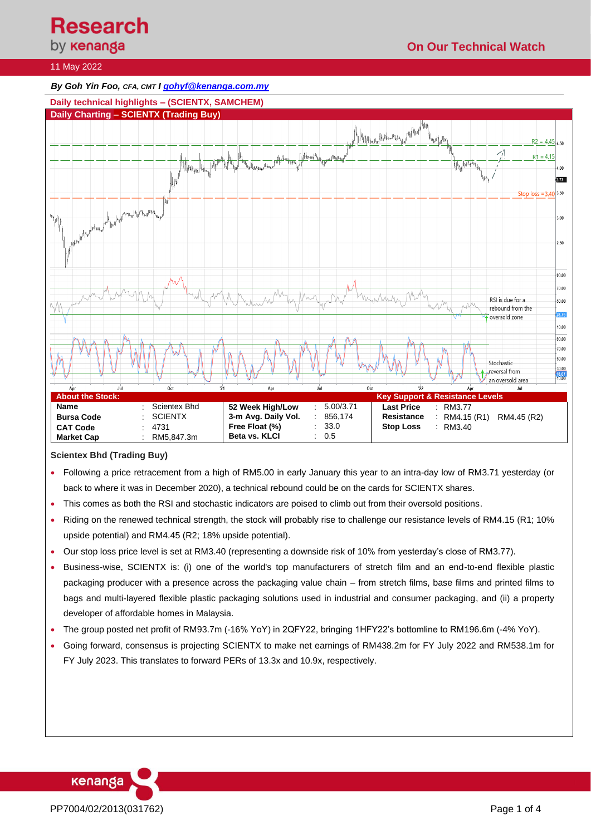**Research**<br>by **кепапда** 

**On Our Technical Watch**

## 11 May 2022

#### *By Goh Yin Foo, CFA, CMT [I gohyf@kenanga.com.my](mailto:gohyf@kenanga.com.my)*



## **Scientex Bhd (Trading Buy)**

- Following a price retracement from a high of RM5.00 in early January this year to an intra-day low of RM3.71 yesterday (or back to where it was in December 2020), a technical rebound could be on the cards for SCIENTX shares.
- This comes as both the RSI and stochastic indicators are poised to climb out from their oversold positions.
- Riding on the renewed technical strength, the stock will probably rise to challenge our resistance levels of RM4.15 (R1; 10% upside potential) and RM4.45 (R2; 18% upside potential).
- Our stop loss price level is set at RM3.40 (representing a downside risk of 10% from yesterday's close of RM3.77).
- Business-wise, SCIENTX is: (i) one of the world's top manufacturers of stretch film and an end-to-end flexible plastic packaging producer with a presence across the packaging value chain – from stretch films, base films and printed films to bags and multi-layered flexible plastic packaging solutions used in industrial and consumer packaging, and (ii) a property developer of affordable homes in Malaysia.
- The group posted net profit of RM93.7m (-16% YoY) in 2QFY22, bringing 1HFY22's bottomline to RM196.6m (-4% YoY).
- Going forward, consensus is projecting SCIENTX to make net earnings of RM438.2m for FY July 2022 and RM538.1m for FY July 2023. This translates to forward PERs of 13.3x and 10.9x, respectively.

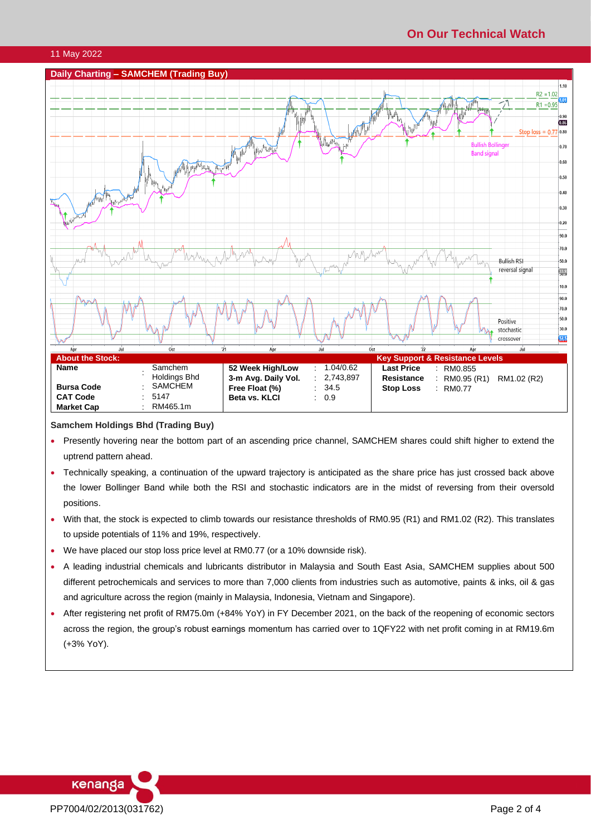# **On Our Technical Watch**

## 11 May 2022



#### **Samchem Holdings Bhd (Trading Buy)**

- Presently hovering near the bottom part of an ascending price channel, SAMCHEM shares could shift higher to extend the uptrend pattern ahead.
- Technically speaking, a continuation of the upward trajectory is anticipated as the share price has just crossed back above the lower Bollinger Band while both the RSI and stochastic indicators are in the midst of reversing from their oversold positions.
- With that, the stock is expected to climb towards our resistance thresholds of RM0.95 (R1) and RM1.02 (R2). This translates to upside potentials of 11% and 19%, respectively.
- We have placed our stop loss price level at RM0.77 (or a 10% downside risk).
- A leading industrial chemicals and lubricants distributor in Malaysia and South East Asia, SAMCHEM supplies about 500 different petrochemicals and services to more than 7,000 clients from industries such as automotive, paints & inks, oil & gas and agriculture across the region (mainly in Malaysia, Indonesia, Vietnam and Singapore).
- After registering net profit of RM75.0m (+84% YoY) in FY December 2021, on the back of the reopening of economic sectors across the region, the group's robust earnings momentum has carried over to 1QFY22 with net profit coming in at RM19.6m (+3% YoY).

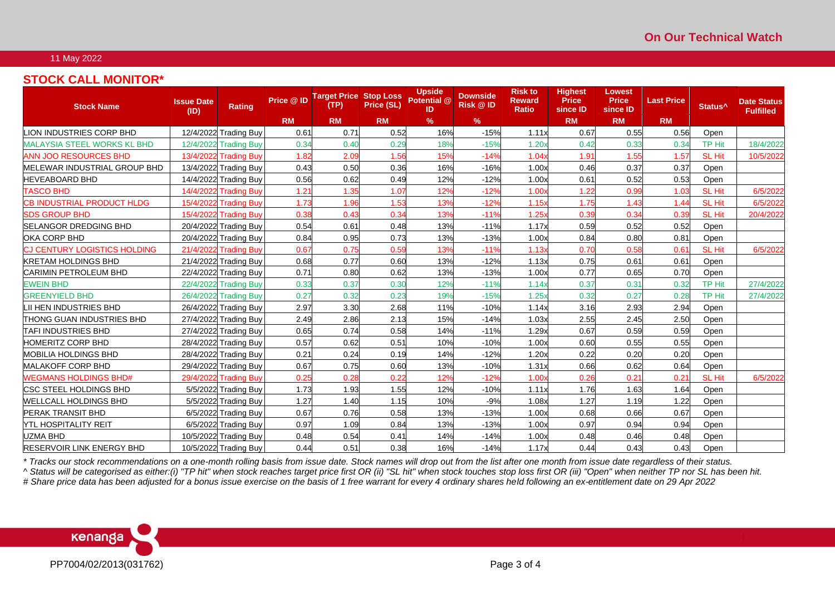## 11 May 2022

# **STOCK CALL MONITOR\***

| <b>Stock Name</b>                   | <b>Issue Date</b><br>(ID) | <b>Rating</b>         | Price @ ID | <b>Target Price</b><br>(TP) | <b>Stop Loss</b><br>Price (SL) | <b>Upside</b><br>Potential @<br>ID | <b>Downside</b><br><b>Risk @ ID</b> | <b>Risk to</b><br><b>Reward</b><br>Ratio | <b>Highest</b><br><b>Price</b><br>since ID | Lowest<br><b>Price</b><br>since ID | <b>Last Price</b> | Status <sup>^</sup> | <b>Date Status</b><br><b>Fulfilled</b> |
|-------------------------------------|---------------------------|-----------------------|------------|-----------------------------|--------------------------------|------------------------------------|-------------------------------------|------------------------------------------|--------------------------------------------|------------------------------------|-------------------|---------------------|----------------------------------------|
|                                     |                           |                       | <b>RM</b>  | <b>RM</b>                   | <b>RM</b>                      | %                                  | $\%$                                |                                          | <b>RM</b>                                  | <b>RM</b>                          | <b>RM</b>         |                     |                                        |
| <b>LION INDUSTRIES CORP BHD</b>     |                           | 12/4/2022 Trading Buy | 0.61       | 0.71                        | 0.52                           | 16%                                | $-15%$                              | 1.11x                                    | 0.67                                       | 0.55                               | 0.56              | Open                |                                        |
| <b>MALAYSIA STEEL WORKS KL BHD</b>  |                           | 12/4/2022 Trading Buy | 0.34       | 0.40                        | 0.29                           | 18%                                | $-15%$                              | 1.20x                                    | 0.42                                       | 0.33                               | 0.34              | TP Hit              | 18/4/2022                              |
| <b>ANN JOO RESOURCES BHD</b>        |                           | 13/4/2022 Trading Buy | 1.82       | 2.09                        | 1.56                           | 15%                                | $-14%$                              | 1.04                                     | 1.91                                       | 1.55                               | 1.57              | SL Hit              | 10/5/2022                              |
| MELEWAR INDUSTRIAL GROUP BHD        |                           | 13/4/2022 Trading Buy | 0.43       | 0.50                        | 0.36                           | 16%                                | $-16%$                              | 1.00x                                    | 0.46                                       | 0.37                               | 0.37              | Open                |                                        |
| <b>HEVEABOARD BHD</b>               |                           | 14/4/2022 Trading Buy | 0.56       | 0.62                        | 0.49                           | 12%                                | $-12%$                              | 1.00x                                    | 0.61                                       | 0.52                               | 0.53              | Open                |                                        |
| <b>TASCO BHD</b>                    |                           | 14/4/2022 Trading Buy | 1.21       | 1.35                        | 1.07                           | 12%                                | $-12%$                              | 1.00x                                    | 1.22                                       | 0.99                               | 1.03              | <b>SL Hit</b>       | 6/5/2022                               |
| CB INDUSTRIAL PRODUCT HLDG          |                           | 15/4/2022 Trading Buy | 1.73       | 1.96                        | 1.53                           | 13%                                | $-12%$                              | 1.15x                                    | 1.75                                       | 1.43                               | 1.44              | <b>SL Hit</b>       | 6/5/2022                               |
| <b>SDS GROUP BHD</b>                |                           | 15/4/2022 Trading Buy | 0.38       | 0.43                        | 0.34                           | 13%                                | $-11%$                              | 1.25                                     | 0.39                                       | 0.34                               | 0.39              | SL Hit              | 20/4/2022                              |
| <b>SELANGOR DREDGING BHD</b>        |                           | 20/4/2022 Trading Buy | 0.54       | 0.61                        | 0.48                           | 13%                                | $-11%$                              | 1.17x                                    | 0.59                                       | 0.52                               | 0.52              | Open                |                                        |
| OKA CORP BHD                        |                           | 20/4/2022 Trading Buy | 0.84       | 0.95                        | 0.73                           | 13%                                | $-13%$                              | 1.00x                                    | 0.84                                       | 0.80                               | 0.81              | Open                |                                        |
| <b>CJ CENTURY LOGISTICS HOLDING</b> |                           | 21/4/2022 Trading Buy | 0.67       | 0.75                        | 0.59                           | 13%                                | $-11%$                              | 1.13x                                    | 0.70                                       | 0.58                               | 0.61              | SL Hit              | 6/5/2022                               |
| <b>KRETAM HOLDINGS BHD</b>          |                           | 21/4/2022 Trading Buy | 0.68       | 0.77                        | 0.60                           | 13%                                | $-12%$                              | 1.13x                                    | 0.75                                       | 0.61                               | 0.61              | Open                |                                        |
| <b>CARIMIN PETROLEUM BHD</b>        |                           | 22/4/2022 Trading Buy | 0.71       | 0.80                        | 0.62                           | 13%                                | $-13%$                              | 1.00x                                    | 0.77                                       | 0.65                               | 0.70              | Open                |                                        |
| <b>EWEIN BHD</b>                    |                           | 22/4/2022 Trading Buy | 0.33       | 0.37                        | 0.30                           | 12%                                | $-11%$                              | 1.14x                                    | 0.37                                       | 0.31                               | 0.32              | TP Hit              | 27/4/2022                              |
| <b>GREENYIELD BHD</b>               |                           | 26/4/2022 Trading Buy | 0.27       | 0.32                        | 0.23                           | 19%                                | $-15%$                              | 1.25x                                    | 0.32                                       | 0.27                               | 0.28              | <b>TP Hit</b>       | 27/4/2022                              |
| LII HEN INDUSTRIES BHD              |                           | 26/4/2022 Trading Buy | 2.97       | 3.30                        | 2.68                           | 11%                                | $-10%$                              | 1.14x                                    | 3.16                                       | 2.93                               | 2.94              | Open                |                                        |
| <b>THONG GUAN INDUSTRIES BHD</b>    |                           | 27/4/2022 Trading Buy | 2.49       | 2.86                        | 2.13                           | 15%                                | $-14%$                              | 1.03x                                    | 2.55                                       | 2.45                               | 2.50              | Open                |                                        |
| <b>TAFI INDUSTRIES BHD</b>          |                           | 27/4/2022 Trading Buy | 0.65       | 0.74                        | 0.58                           | 14%                                | $-11%$                              | 1.29x                                    | 0.67                                       | 0.59                               | 0.59              | Open                |                                        |
| <b>HOMERITZ CORP BHD</b>            |                           | 28/4/2022 Trading Buy | 0.57       | 0.62                        | 0.51                           | 10%                                | $-10%$                              | 1.00x                                    | 0.60                                       | 0.55                               | 0.55              | Open                |                                        |
| <b>MOBILIA HOLDINGS BHD</b>         |                           | 28/4/2022 Trading Buy | 0.21       | 0.24                        | 0.19                           | 14%                                | $-12%$                              | 1.20x                                    | 0.22                                       | 0.20                               | 0.20              | Open                |                                        |
| <b>MALAKOFF CORP BHD</b>            |                           | 29/4/2022 Trading Buy | 0.67       | 0.75                        | 0.60                           | 13%                                | $-10%$                              | 1.31x                                    | 0.66                                       | 0.62                               | 0.64              | Open                |                                        |
| <b>WEGMANS HOLDINGS BHD#</b>        |                           | 29/4/2022 Trading Buy | 0.25       | 0.28                        | 0.22                           | 12%                                | $-12%$                              | 1.00x                                    | 0.26                                       | 0.21                               | 0.21              | <b>SL Hit</b>       | 6/5/2022                               |
| <b>CSC STEEL HOLDINGS BHD</b>       |                           | 5/5/2022 Trading Buy  | 1.73       | 1.93                        | 1.55                           | 12%                                | $-10%$                              | 1.11x                                    | 1.76                                       | 1.63                               | 1.64              | Open                |                                        |
| <b>WELLCALL HOLDINGS BHD</b>        |                           | 5/5/2022 Trading Buy  | 1.27       | 1.40                        | 1.15                           | 10%                                | $-9%$                               | 1.08x                                    | 1.27                                       | 1.19                               | 1.22              | Open                |                                        |
| <b>PERAK TRANSIT BHD</b>            |                           | 6/5/2022 Trading Buy  | 0.67       | 0.76                        | 0.58                           | 13%                                | $-13%$                              | 1.00x                                    | 0.68                                       | 0.66                               | 0.67              | Open                |                                        |
| <b>NTL HOSPITALITY REIT</b>         |                           | 6/5/2022 Trading Buy  | 0.97       | 1.09                        | 0.84                           | 13%                                | $-13%$                              | 1.00x                                    | 0.97                                       | 0.94                               | 0.94              | Open                |                                        |
| <b>UZMA BHD</b>                     |                           | 10/5/2022 Trading Buy | 0.48       | 0.54                        | 0.41                           | 14%                                | $-14%$                              | 1.00x                                    | 0.48                                       | 0.46                               | 0.48              | Open                |                                        |
| <b>RESERVOIR LINK ENERGY BHD</b>    |                           | 10/5/2022 Trading Buy | 0.44       | 0.51                        | 0.38                           | 16%                                | $-14%$                              | 1.17x                                    | 0.44                                       | 0.43                               | 0.43              | Open                |                                        |

*\* Tracks our stock recommendations on a one-month rolling basis from issue date. Stock names will drop out from the list after one month from issue date regardless of their status. ^ Status will be categorised as either:(i) "TP hit" when stock reaches target price first OR (ii) "SL hit" when stock touches stop loss first OR (iii) "Open" when neither TP nor SL has been hit. # Share price data has been adjusted for a bonus issue exercise on the basis of 1 free warrant for every 4 ordinary shares held following an ex-entitlement date on 29 Apr 2022*